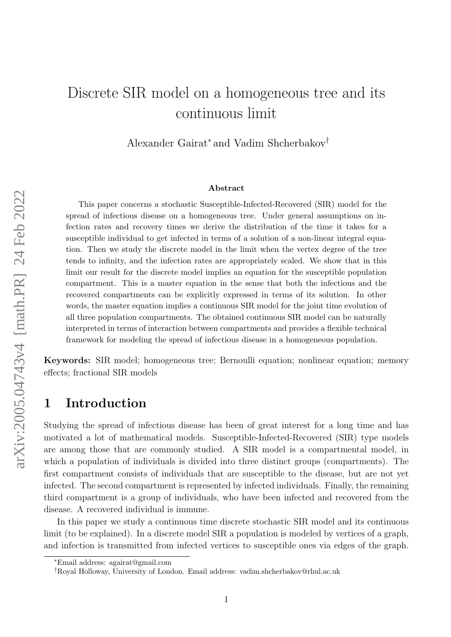# Discrete SIR model on a homogeneous tree and its continuous limit

Alexander Gairat<sup>∗</sup> and Vadim Shcherbakov†

#### Abstract

This paper concerns a stochastic Susceptible-Infected-Recovered (SIR) model for the spread of infectious disease on a homogeneous tree. Under general assumptions on infection rates and recovery times we derive the distribution of the time it takes for a susceptible individual to get infected in terms of a solution of a non-linear integral equation. Then we study the discrete model in the limit when the vertex degree of the tree tends to infinity, and the infection rates are appropriately scaled. We show that in this limit our result for the discrete model implies an equation for the susceptible population compartment. This is a master equation in the sense that both the infectious and the recovered compartments can be explicitly expressed in terms of its solution. In other words, the master equation implies a continuous SIR model for the joint time evolution of all three population compartments. The obtained continuous SIR model can be naturally interpreted in terms of interaction between compartments and provides a flexible technical framework for modeling the spread of infectious disease in a homogeneous population.

Keywords: SIR model; homogeneous tree; Bernoulli equation; nonlinear equation; memory effects; fractional SIR models

# 1 Introduction

Studying the spread of infectious disease has been of great interest for a long time and has motivated a lot of mathematical models. Susceptible-Infected-Recovered (SIR) type models are among those that are commonly studied. A SIR model is a compartmental model, in which a population of individuals is divided into three distinct groups (compartments). The first compartment consists of individuals that are susceptible to the disease, but are not yet infected. The second compartment is represented by infected individuals. Finally, the remaining third compartment is a group of individuals, who have been infected and recovered from the disease. A recovered individual is immune.

In this paper we study a continuous time discrete stochastic SIR model and its continuous limit (to be explained). In a discrete model SIR a population is modeled by vertices of a graph, and infection is transmitted from infected vertices to susceptible ones via edges of the graph.

<sup>∗</sup>Email address: agairat@gmail.com

<sup>†</sup>Royal Holloway, University of London. Email address: vadim.shcherbakov@rhul.ac.uk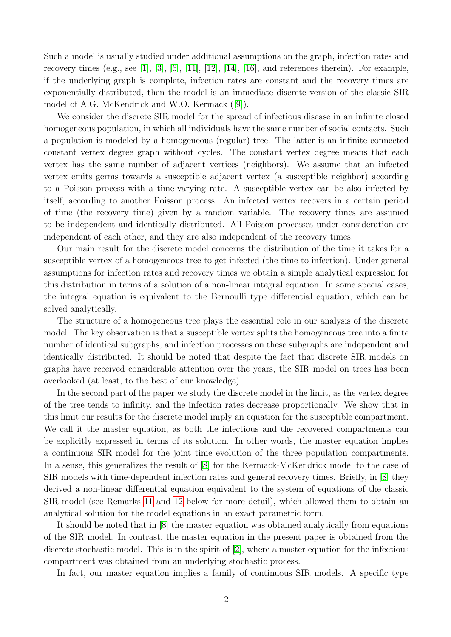Such a model is usually studied under additional assumptions on the graph, infection rates and recovery times (e.g., see [\[1\]](#page-16-0), [\[3\]](#page-16-1), [\[6\]](#page-16-2), [\[11\]](#page-17-0), [\[12\]](#page-17-1), [\[14\]](#page-17-2), [\[16\]](#page-17-3), and references therein). For example, if the underlying graph is complete, infection rates are constant and the recovery times are exponentially distributed, then the model is an immediate discrete version of the classic SIR model of A.G. McKendrick and W.O. Kermack([\[9\]](#page-17-4)).

We consider the discrete SIR model for the spread of infectious disease in an infinite closed homogeneous population, in which all individuals have the same number of social contacts. Such a population is modeled by a homogeneous (regular) tree. The latter is an infinite connected constant vertex degree graph without cycles. The constant vertex degree means that each vertex has the same number of adjacent vertices (neighbors). We assume that an infected vertex emits germs towards a susceptible adjacent vertex (a susceptible neighbor) according to a Poisson process with a time-varying rate. A susceptible vertex can be also infected by itself, according to another Poisson process. An infected vertex recovers in a certain period of time (the recovery time) given by a random variable. The recovery times are assumed to be independent and identically distributed. All Poisson processes under consideration are independent of each other, and they are also independent of the recovery times.

Our main result for the discrete model concerns the distribution of the time it takes for a susceptible vertex of a homogeneous tree to get infected (the time to infection). Under general assumptions for infection rates and recovery times we obtain a simple analytical expression for this distribution in terms of a solution of a non-linear integral equation. In some special cases, the integral equation is equivalent to the Bernoulli type differential equation, which can be solved analytically.

The structure of a homogeneous tree plays the essential role in our analysis of the discrete model. The key observation is that a susceptible vertex splits the homogeneous tree into a finite number of identical subgraphs, and infection processes on these subgraphs are independent and identically distributed. It should be noted that despite the fact that discrete SIR models on graphs have received considerable attention over the years, the SIR model on trees has been overlooked (at least, to the best of our knowledge).

In the second part of the paper we study the discrete model in the limit, as the vertex degree of the tree tends to infinity, and the infection rates decrease proportionally. We show that in this limit our results for the discrete model imply an equation for the susceptible compartment. We call it the master equation, as both the infectious and the recovered compartments can be explicitly expressed in terms of its solution. In other words, the master equation implies a continuous SIR model for the joint time evolution of the three population compartments. In a sense, this generalizes the result of [\[8\]](#page-16-3) for the Kermack-McKendrick model to the case of SIR models with time-dependent infection rates and general recovery times. Briefly, in [\[8\]](#page-16-3) they derived a non-linear differential equation equivalent to the system of equations of the classic SIR model (see Remarks [11](#page-10-0) and [12](#page-10-1) below for more detail), which allowed them to obtain an analytical solution for the model equations in an exact parametric form.

It should be noted that in [\[8\]](#page-16-3) the master equation was obtained analytically from equations of the SIR model. In contrast, the master equation in the present paper is obtained from the discrete stochastic model. This is in the spirit of [\[2\]](#page-16-4), where a master equation for the infectious compartment was obtained from an underlying stochastic process.

In fact, our master equation implies a family of continuous SIR models. A specific type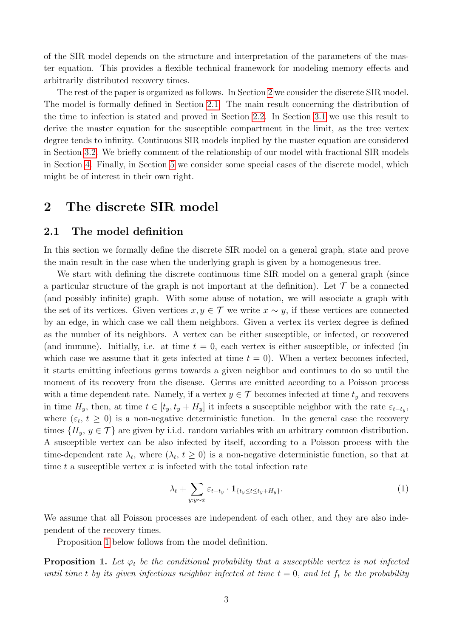of the SIR model depends on the structure and interpretation of the parameters of the master equation. This provides a flexible technical framework for modeling memory effects and arbitrarily distributed recovery times.

The rest of the paper is organized as follows. In Section [2](#page-2-0) we consider the discrete SIR model. The model is formally defined in Section [2.1.](#page-2-1) The main result concerning the distribution of the time to infection is stated and proved in Section [2.2.](#page-3-0) In Section [3.1](#page-5-0) we use this result to derive the master equation for the susceptible compartment in the limit, as the tree vertex degree tends to infinity. Continuous SIR models implied by the master equation are considered in Section [3.2.](#page-7-0) We briefly comment of the relationship of our model with fractional SIR models in Section [4.](#page-12-0) Finally, in Section [5](#page-13-0) we consider some special cases of the discrete model, which might be of interest in their own right.

### <span id="page-2-0"></span>2 The discrete SIR model

### <span id="page-2-1"></span>2.1 The model definition

In this section we formally define the discrete SIR model on a general graph, state and prove the main result in the case when the underlying graph is given by a homogeneous tree.

We start with defining the discrete continuous time SIR model on a general graph (since a particular structure of the graph is not important at the definition). Let  $\mathcal T$  be a connected (and possibly infinite) graph. With some abuse of notation, we will associate a graph with the set of its vertices. Given vertices  $x, y \in \mathcal{T}$  we write  $x \sim y$ , if these vertices are connected by an edge, in which case we call them neighbors. Given a vertex its vertex degree is defined as the number of its neighbors. A vertex can be either susceptible, or infected, or recovered (and immune). Initially, i.e. at time  $t = 0$ , each vertex is either susceptible, or infected (in which case we assume that it gets infected at time  $t = 0$ . When a vertex becomes infected, it starts emitting infectious germs towards a given neighbor and continues to do so until the moment of its recovery from the disease. Germs are emitted according to a Poisson process with a time dependent rate. Namely, if a vertex  $y \in \mathcal{T}$  becomes infected at time  $t_y$  and recovers in time  $H_y$ , then, at time  $t \in [t_y, t_y + H_y]$  it infects a susceptible neighbor with the rate  $\varepsilon_{t-t_y}$ , where  $(\varepsilon_t, t \geq 0)$  is a non-negative deterministic function. In the general case the recovery times  $\{H_u, y \in \mathcal{T}\}\$ are given by i.i.d. random variables with an arbitrary common distribution. A susceptible vertex can be also infected by itself, according to a Poisson process with the time-dependent rate  $\lambda_t$ , where  $(\lambda_t, t \geq 0)$  is a non-negative deterministic function, so that at time t a susceptible vertex  $x$  is infected with the total infection rate

$$
\lambda_t + \sum_{y:y \sim x} \varepsilon_{t-t_y} \cdot \mathbf{1}_{\{t_y \le t \le t_y + H_y\}}.\tag{1}
$$

We assume that all Poisson processes are independent of each other, and they are also independent of the recovery times.

Proposition [1](#page-2-2) below follows from the model definition.

<span id="page-2-2"></span>**Proposition 1.** Let  $\varphi_t$  be the conditional probability that a susceptible vertex is not infected until time t by its given infectious neighbor infected at time  $t = 0$ , and let  $f_t$  be the probability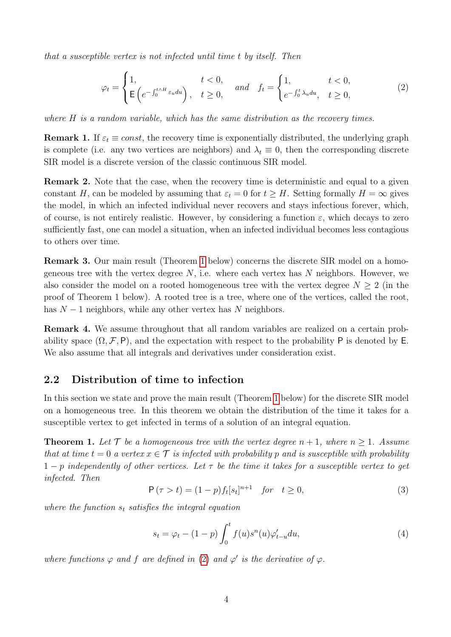that a susceptible vertex is not infected until time t by itself. Then

<span id="page-3-2"></span>
$$
\varphi_t = \begin{cases} 1, & t < 0, \\ \mathbf{E} \left( e^{-\int_0^{t \wedge H} \varepsilon_u du} \right), & t \ge 0, \end{cases} \quad and \quad f_t = \begin{cases} 1, & t < 0, \\ e^{-\int_0^t \lambda_u du}, & t \ge 0, \end{cases}
$$
 (2)

where H is a random variable, which has the same distribution as the recovery times.

**Remark 1.** If  $\varepsilon_t \equiv const$ , the recovery time is exponentially distributed, the underlying graph is complete (i.e. any two vertices are neighbors) and  $\lambda_t \equiv 0$ , then the corresponding discrete SIR model is a discrete version of the classic continuous SIR model.

Remark 2. Note that the case, when the recovery time is deterministic and equal to a given constant H, can be modeled by assuming that  $\varepsilon_t = 0$  for  $t \geq H$ . Setting formally  $H = \infty$  gives the model, in which an infected individual never recovers and stays infectious forever, which, of course, is not entirely realistic. However, by considering a function  $\varepsilon$ , which decays to zero sufficiently fast, one can model a situation, when an infected individual becomes less contagious to others over time.

Remark 3. Our main result (Theorem [1](#page-3-1) below) concerns the discrete SIR model on a homogeneous tree with the vertex degree  $N$ , i.e. where each vertex has  $N$  neighbors. However, we also consider the model on a rooted homogeneous tree with the vertex degree  $N \geq 2$  (in the proof of Theorem 1 below). A rooted tree is a tree, where one of the vertices, called the root, has  $N-1$  neighbors, while any other vertex has N neighbors.

Remark 4. We assume throughout that all random variables are realized on a certain probability space  $(\Omega, \mathcal{F}, P)$ , and the expectation with respect to the probability P is denoted by E. We also assume that all integrals and derivatives under consideration exist.

### <span id="page-3-0"></span>2.2 Distribution of time to infection

In this section we state and prove the main result (Theorem [1](#page-3-1) below) for the discrete SIR model on a homogeneous tree. In this theorem we obtain the distribution of the time it takes for a susceptible vertex to get infected in terms of a solution of an integral equation.

<span id="page-3-1"></span>**Theorem 1.** Let  $\mathcal{T}$  be a homogeneous tree with the vertex degree  $n + 1$ , where  $n \geq 1$ . Assume that at time  $t = 0$  a vertex  $x \in \mathcal{T}$  is infected with probability p and is susceptible with probability  $1-p$  independently of other vertices. Let  $\tau$  be the time it takes for a susceptible vertex to get infected. Then

$$
P(\tau > t) = (1 - p)f_t[s_t]^{n+1} \quad \text{for} \quad t \ge 0,
$$
\n(3)

where the function  $s_t$  satisfies the integral equation

<span id="page-3-3"></span>
$$
s_t = \varphi_t - (1 - p) \int_0^t f(u) s^n(u) \varphi'_{t-u} du,
$$
\n(4)

where functions  $\varphi$  and f are defined in [\(2\)](#page-3-2) and  $\varphi'$  is the derivative of  $\varphi$ .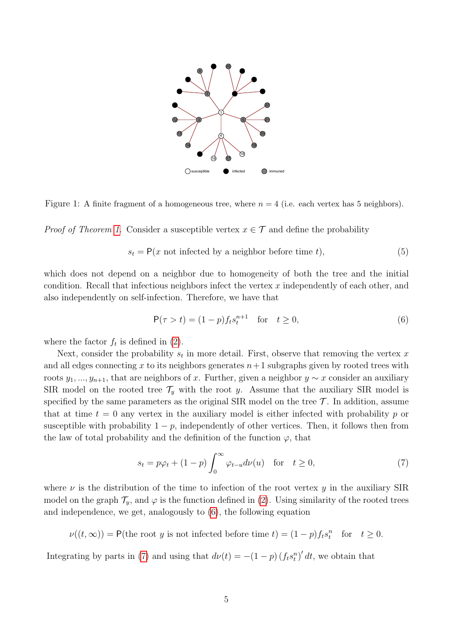

Figure 1: A finite fragment of a homogeneous tree, where  $n = 4$  (i.e. each vertex has 5 neighbors).

*Proof of Theorem [1.](#page-3-1)* Consider a susceptible vertex  $x \in \mathcal{T}$  and define the probability

$$
s_t = P(x \text{ not infected by a neighbor before time } t), \tag{5}
$$

which does not depend on a neighbor due to homogeneity of both the tree and the initial condition. Recall that infectious neighbors infect the vertex  $x$  independently of each other, and also independently on self-infection. Therefore, we have that

<span id="page-4-0"></span>
$$
P(\tau > t) = (1 - p)f_ts_t^{n+1} \text{ for } t \ge 0,
$$
\n(6)

where the factor  $f_t$  is defined in [\(2\)](#page-3-2).

Next, consider the probability  $s_t$  in more detail. First, observe that removing the vertex x and all edges connecting x to its neighbors generates  $n+1$  subgraphs given by rooted trees with roots  $y_1, ..., y_{n+1}$ , that are neighbors of x. Further, given a neighbor  $y \sim x$  consider an auxiliary SIR model on the rooted tree  $\mathcal{T}_y$  with the root y. Assume that the auxiliary SIR model is specified by the same parameters as the original SIR model on the tree  $\mathcal{T}$ . In addition, assume that at time  $t = 0$  any vertex in the auxiliary model is either infected with probability p or susceptible with probability  $1 - p$ , independently of other vertices. Then, it follows then from the law of total probability and the definition of the function  $\varphi$ , that

<span id="page-4-1"></span>
$$
s_t = p\varphi_t + (1 - p) \int_0^\infty \varphi_{t-u} d\nu(u) \quad \text{for} \quad t \ge 0,
$$
 (7)

where  $\nu$  is the distribution of the time to infection of the root vertex y in the auxiliary SIR model on the graph  $\mathcal{T}_y$ , and  $\varphi$  is the function defined in [\(2\)](#page-3-2). Using similarity of the rooted trees and independence, we get, analogously to [\(6\)](#page-4-0), the following equation

 $\nu((t,\infty)) = \mathsf{P}(\text{the root } y \text{ is not infected before time } t) = (1-p)f_ts_t^n \text{ for } t \geq 0.$ 

Integrating by parts in [\(7\)](#page-4-1) and using that  $d\nu(t) = -(1-p)(f_t s_t^n)' dt$ , we obtain that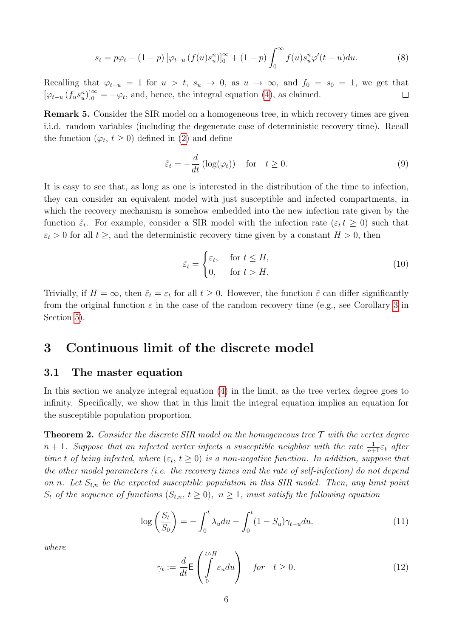$$
s_t = p\varphi_t - (1 - p) \left[ \varphi_{t-u} \left( f(u) s_u^n \right) \right]_0^\infty + (1 - p) \int_0^\infty f(u) s_u^n \varphi'(t - u) du. \tag{8}
$$

Recalling that  $\varphi_{t-u} = 1$  for  $u > t$ ,  $s_u \to 0$ , as  $u \to \infty$ , and  $f_0 = s_0 = 1$ , we get that  $[\varphi_{t-u}(f_u s_u^n)]_0^{\infty} = -\varphi_t$ , and, hence, the integral equation [\(4\)](#page-3-3), as claimed.  $\Box$ 

<span id="page-5-3"></span>**Remark 5.** Consider the SIR model on a homogeneous tree, in which recovery times are given i.i.d. random variables (including the degenerate case of deterministic recovery time). Recall the function  $(\varphi_t, t \ge 0)$  defined in [\(2\)](#page-3-2) and define

$$
\tilde{\varepsilon}_t = -\frac{d}{dt} \left( \log(\varphi_t) \right) \quad \text{for} \quad t \ge 0. \tag{9}
$$

It is easy to see that, as long as one is interested in the distribution of the time to infection, they can consider an equivalent model with just susceptible and infected compartments, in which the recovery mechanism is somehow embedded into the new infection rate given by the function  $\tilde{\varepsilon}_t$ . For example, consider a SIR model with the infection rate  $(\varepsilon_t t \geq 0)$  such that  $\varepsilon_t > 0$  for all  $t \geq$ , and the deterministic recovery time given by a constant  $H > 0$ , then

$$
\tilde{\varepsilon}_t = \begin{cases} \varepsilon_t, & \text{for } t \le H, \\ 0, & \text{for } t > H. \end{cases} \tag{10}
$$

Trivially, if  $H = \infty$ , then  $\tilde{\varepsilon}_t = \varepsilon_t$  for all  $t \geq 0$ . However, the function  $\tilde{\varepsilon}$  can differ significantly from the original function  $\varepsilon$  in the case of the random recovery time (e.g., see Corollary [3](#page-15-0) in Section [5\)](#page-13-0).

# 3 Continuous limit of the discrete model

### <span id="page-5-0"></span>3.1 The master equation

In this section we analyze integral equation [\(4\)](#page-3-3) in the limit, as the tree vertex degree goes to infinity. Specifically, we show that in this limit the integral equation implies an equation for the susceptible population proportion.

**Theorem 2.** Consider the discrete SIR model on the homogeneous tree  $\mathcal T$  with the vertex degree  $n + 1$ . Suppose that an infected vertex infects a susceptible neighbor with the rate  $\frac{1}{n+1} \varepsilon_t$  after time t of being infected, where  $(\varepsilon_t, t \ge 0)$  is a non-negative function. In addition, suppose that the other model parameters (i.e. the recovery times and the rate of self-infection) do not depend on n. Let  $S_{t,n}$  be the expected susceptible population in this SIR model. Then, any limit point  $S_t$  of the sequence of functions  $(S_{t,n}, t \geq 0)$ ,  $n \geq 1$ , must satisfy the following equation

<span id="page-5-2"></span>
$$
\log\left(\frac{S_t}{S_0}\right) = -\int_0^t \lambda_u du - \int_0^t (1 - S_u)\gamma_{t-u} du. \tag{11}
$$

where

<span id="page-5-1"></span>
$$
\gamma_t := \frac{d}{dt} \mathsf{E} \left( \int_0^{t \wedge H} \varepsilon_u du \right) \quad \text{for} \quad t \ge 0. \tag{12}
$$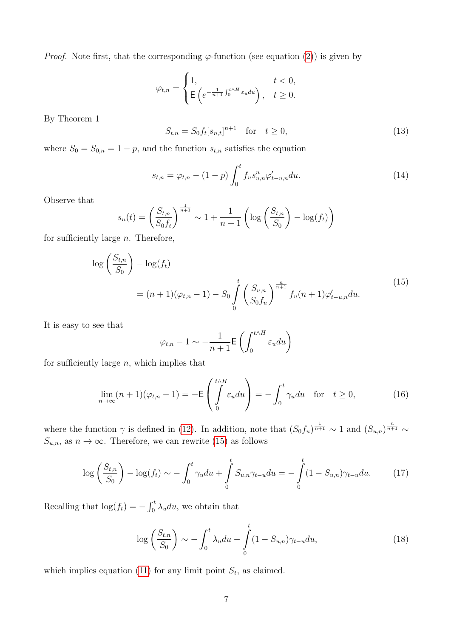*Proof.* Note first, that the corresponding  $\varphi$ -function (see equation [\(2\)](#page-3-2)) is given by

$$
\varphi_{t,n} = \begin{cases} 1, & t < 0, \\ \mathsf{E}\left(e^{-\frac{1}{n+1}\int_0^{t \wedge H} \varepsilon_u du}\right), & t \ge 0. \end{cases}
$$

By Theorem 1

$$
S_{t,n} = S_0 f_t [s_{n,t}]^{n+1} \text{ for } t \ge 0,
$$
\n(13)

where  $S_0 = S_{0,n} = 1 - p$ , and the function  $s_{t,n}$  satisfies the equation

$$
s_{t,n} = \varphi_{t,n} - (1-p) \int_0^t f_u s_{u,n}^n \varphi'_{t-u,n} du.
$$
 (14)

Observe that

$$
s_n(t) = \left(\frac{S_{t,n}}{S_0 f_t}\right)^{\frac{1}{n+1}} \sim 1 + \frac{1}{n+1} \left(\log\left(\frac{S_{t,n}}{S_0}\right) - \log(f_t)\right)
$$

<span id="page-6-0"></span>for sufficiently large  $n$ . Therefore,

$$
\log\left(\frac{S_{t,n}}{S_0}\right) - \log(f_t)
$$
  
=  $(n+1)(\varphi_{t,n} - 1) - S_0 \int_0^t \left(\frac{S_{u,n}}{S_0 f_u}\right)^{\frac{n}{n+1}} f_u(n+1) \varphi'_{t-u,n} du.$  (15)

It is easy to see that

$$
\varphi_{t,n} - 1 \sim -\frac{1}{n+1} \mathsf{E}\left(\int_0^{t \wedge H} \varepsilon_u du\right)
$$

for sufficiently large  $n$ , which implies that

$$
\lim_{n \to \infty} (n+1)(\varphi_{t,n} - 1) = -\mathsf{E}\left(\int_0^{t \wedge H} \varepsilon_u du\right) = -\int_0^t \gamma_u du \quad \text{for} \quad t \ge 0,
$$
\n(16)

where the function  $\gamma$  is defined in [\(12\)](#page-5-1). In addition, note that  $(S_0 f_u)^{\frac{1}{n+1}} \sim 1$  and  $(S_{u,n})^{\frac{n}{n+1}} \sim$  $S_{u,n}$ , as  $n \to \infty$ . Therefore, we can rewrite [\(15\)](#page-6-0) as follows

$$
\log\left(\frac{S_{t,n}}{S_0}\right) - \log(f_t) \sim -\int_0^t \gamma_u du + \int_0^t S_{u,n} \gamma_{t-u} du = -\int_0^t (1 - S_{u,n}) \gamma_{t-u} du. \tag{17}
$$

Recalling that  $\log(f_t) = -\int_0^t \lambda_u du$ , we obtain that

$$
\log\left(\frac{S_{t,n}}{S_0}\right) \sim -\int_0^t \lambda_u du - \int_0^t (1 - S_{u,n}) \gamma_{t-u} du,\tag{18}
$$

which implies equation [\(11\)](#page-5-2) for any limit point  $S_t$ , as claimed.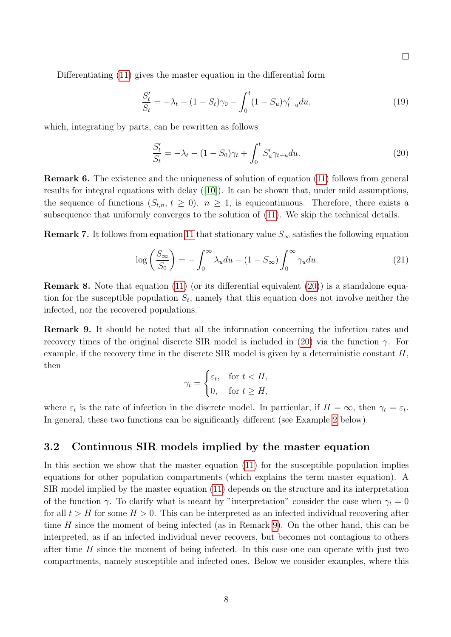$\Box$ 

Differentiating [\(11\)](#page-5-2) gives the master equation in the differential form

$$
\frac{S'_t}{S_t} = -\lambda_t - (1 - S_t)\gamma_0 - \int_0^t (1 - S_u)\gamma'_{t-u} du,\tag{19}
$$

which, integrating by parts, can be rewritten as follows

<span id="page-7-1"></span>
$$
\frac{S'_t}{S_t} = -\lambda_t - (1 - S_0)\gamma_t + \int_0^t S'_u \gamma_{t-u} du.
$$
\n(20)

Remark 6. The existence and the uniqueness of solution of equation [\(11\)](#page-5-2) follows from general results for integral equations with delay([\[10\]](#page-17-5)). It can be shown that, under mild assumptions, the sequence of functions  $(S_{t,n}, t \geq 0)$ ,  $n \geq 1$ , is equicontinuous. Therefore, there exists a subsequence that uniformly converges to the solution of [\(11\)](#page-5-2). We skip the technical details.

**Remark 7.** It follows from equation [11](#page-5-2) that stationary value  $S_{\infty}$  satisfies the following equation

<span id="page-7-3"></span>
$$
\log\left(\frac{S_{\infty}}{S_0}\right) = -\int_0^{\infty} \lambda_u du - (1 - S_{\infty}) \int_0^{\infty} \gamma_u du. \tag{21}
$$

Remark 8. Note that equation [\(11\)](#page-5-2) (or its differential equivalent [\(20\)](#page-7-1)) is a standalone equation for the susceptible population  $S_t$ , namely that this equation does not involve neither the infected, nor the recovered populations.

<span id="page-7-2"></span>Remark 9. It should be noted that all the information concerning the infection rates and recovery times of the original discrete SIR model is included in [\(20\)](#page-7-1) via the function  $\gamma$ . For example, if the recovery time in the discrete  $SIR$  model is given by a deterministic constant  $H$ . then

$$
\gamma_t = \begin{cases} \varepsilon_t, & \text{for } t < H, \\ 0, & \text{for } t \ge H, \end{cases}
$$

where  $\varepsilon_t$  is the rate of infection in the discrete model. In particular, if  $H = \infty$ , then  $\gamma_t = \varepsilon_t$ . In general, these two functions can be significantly different (see Example [2](#page-9-0) below).

### <span id="page-7-0"></span>3.2 Continuous SIR models implied by the master equation

In this section we show that the master equation [\(11\)](#page-5-2) for the susceptible population implies equations for other population compartments (which explains the term master equation). A SIR model implied by the master equation [\(11\)](#page-5-2) depends on the structure and its interpretation of the function  $\gamma$ . To clarify what is meant by "interpretation" consider the case when  $\gamma_t = 0$ for all  $t > H$  for some  $H > 0$ . This can be interpreted as an infected individual recovering after time  $H$  since the moment of being infected (as in Remark [9\)](#page-7-2). On the other hand, this can be interpreted, as if an infected individual never recovers, but becomes not contagious to others after time  $H$  since the moment of being infected. In this case one can operate with just two compartments, namely susceptible and infected ones. Below we consider examples, where this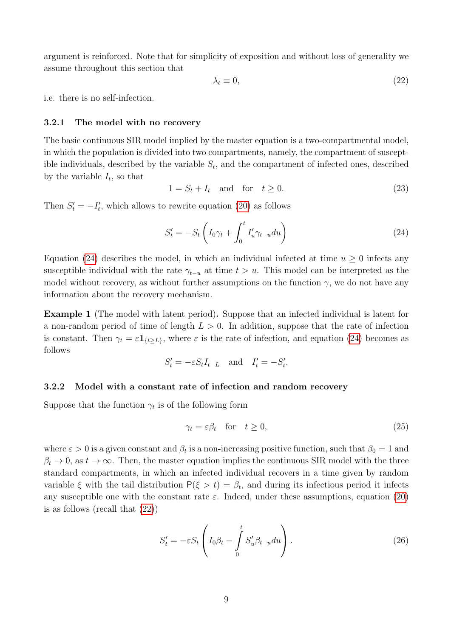argument is reinforced. Note that for simplicity of exposition and without loss of generality we assume throughout this section that

<span id="page-8-1"></span>
$$
\lambda_t \equiv 0,\tag{22}
$$

i.e. there is no self-infection.

#### <span id="page-8-3"></span>3.2.1 The model with no recovery

The basic continuous SIR model implied by the master equation is a two-compartmental model, in which the population is divided into two compartments, namely, the compartment of susceptible individuals, described by the variable  $S_t$ , and the compartment of infected ones, described by the variable  $I_t$ , so that

$$
1 = S_t + I_t \quad \text{and} \quad \text{for} \quad t \ge 0. \tag{23}
$$

Then  $S'_t = -I'_t$ , which allows to rewrite equation [\(20\)](#page-7-1) as follows

<span id="page-8-0"></span>
$$
S_t' = -S_t \left( I_0 \gamma_t + \int_0^t I_u' \gamma_{t-u} du \right) \tag{24}
$$

Equation [\(24\)](#page-8-0) describes the model, in which an individual infected at time  $u \geq 0$  infects any susceptible individual with the rate  $\gamma_{t-u}$  at time  $t > u$ . This model can be interpreted as the model without recovery, as without further assumptions on the function  $\gamma$ , we do not have any information about the recovery mechanism.

Example 1 (The model with latent period). Suppose that an infected individual is latent for a non-random period of time of length  $L > 0$ . In addition, suppose that the rate of infection is constant. Then  $\gamma_t = \varepsilon \mathbf{1}_{\{t \ge L\}}$ , where  $\varepsilon$  is the rate of infection, and equation [\(24\)](#page-8-0) becomes as follows

$$
S'_t = -\varepsilon S_t I_{t-L} \quad \text{and} \quad I'_t = -S'_t.
$$

### <span id="page-8-4"></span>3.2.2 Model with a constant rate of infection and random recovery

Suppose that the function  $\gamma_t$  is of the following form

$$
\gamma_t = \varepsilon \beta_t \quad \text{for} \quad t \ge 0,\tag{25}
$$

where  $\varepsilon > 0$  is a given constant and  $\beta_t$  is a non-increasing positive function, such that  $\beta_0 = 1$  and  $\beta_t \to 0$ , as  $t \to \infty$ . Then, the master equation implies the continuous SIR model with the three standard compartments, in which an infected individual recovers in a time given by random variable  $\xi$  with the tail distribution  $P(\xi > t) = \beta_t$ , and during its infectious period it infects any susceptible one with the constant rate  $\varepsilon$ . Indeed, under these assumptions, equation [\(20\)](#page-7-1) is as follows (recall that [\(22\)](#page-8-1))

<span id="page-8-2"></span>
$$
S_t' = -\varepsilon S_t \left( I_0 \beta_t - \int_0^t S_u' \beta_{t-u} du \right). \tag{26}
$$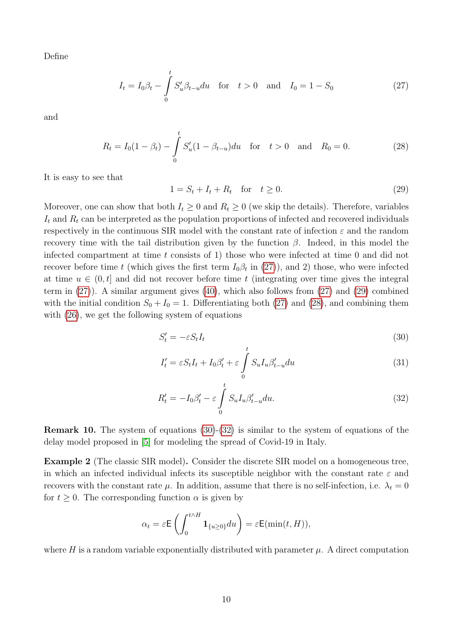Define

$$
I_t = I_0 \beta_t - \int_0^t S'_u \beta_{t-u} du \quad \text{for} \quad t > 0 \quad \text{and} \quad I_0 = 1 - S_0 \tag{27}
$$

and

$$
R_t = I_0(1 - \beta_t) - \int_0^t S'_u(1 - \beta_{t-u}) du \quad \text{for} \quad t > 0 \quad \text{and} \quad R_0 = 0. \tag{28}
$$

It is easy to see that

<span id="page-9-3"></span><span id="page-9-2"></span><span id="page-9-1"></span>
$$
1 = S_t + I_t + R_t \quad \text{for} \quad t \ge 0. \tag{29}
$$

Moreover, one can show that both  $I_t \geq 0$  and  $R_t \geq 0$  (we skip the details). Therefore, variables  $I_t$  and  $R_t$  can be interpreted as the population proportions of infected and recovered individuals respectively in the continuous SIR model with the constant rate of infection  $\varepsilon$  and the random recovery time with the tail distribution given by the function  $β$ . Indeed, in this model the infected compartment at time t consists of 1) those who were infected at time 0 and did not recover before time t (which gives the first term  $I_0\beta_t$  in [\(27\)](#page-9-1)), and 2) those, who were infected at time  $u \in (0, t]$  and did not recover before time t (integrating over time gives the integral term in [\(27\)](#page-9-1)). A similar argument gives [\(40\)](#page-11-0), which also follows from [\(27\)](#page-9-1) and [\(29\)](#page-9-2) combined with the initial condition  $S_0 + I_0 = 1$ . Differentiating both [\(27\)](#page-9-1) and [\(28\)](#page-9-3), and combining them with [\(26\)](#page-8-2), we get the following system of equations

$$
S_t' = -\varepsilon S_t I_t \tag{30}
$$

<span id="page-9-4"></span>
$$
I_t' = \varepsilon S_t I_t + I_0 \beta_t' + \varepsilon \int_0^t S_u I_u \beta_{t-u}' du \tag{31}
$$

<span id="page-9-5"></span>
$$
R'_t = -I_0 \beta'_t - \varepsilon \int_0^t S_u I_u \beta'_{t-u} du.
$$
\n(32)

**Remark 10.** The system of equations  $(30)-(32)$  $(30)-(32)$  is similar to the system of equations of the delay model proposed in [\[5\]](#page-16-5) for modeling the spread of Covid-19 in Italy.

<span id="page-9-0"></span>Example 2 (The classic SIR model). Consider the discrete SIR model on a homogeneous tree, in which an infected individual infects its susceptible neighbor with the constant rate  $\varepsilon$  and recovers with the constant rate  $\mu$ . In addition, assume that there is no self-infection, i.e.  $\lambda_t = 0$ for  $t \geq 0$ . The corresponding function  $\alpha$  is given by

$$
\alpha_t = \varepsilon \mathsf{E}\left(\int_0^{t \wedge H} \mathbf{1}_{\{u \ge 0\}} du\right) = \varepsilon \mathsf{E}(\min(t, H)),
$$

where H is a random variable exponentially distributed with parameter  $\mu$ . A direct computation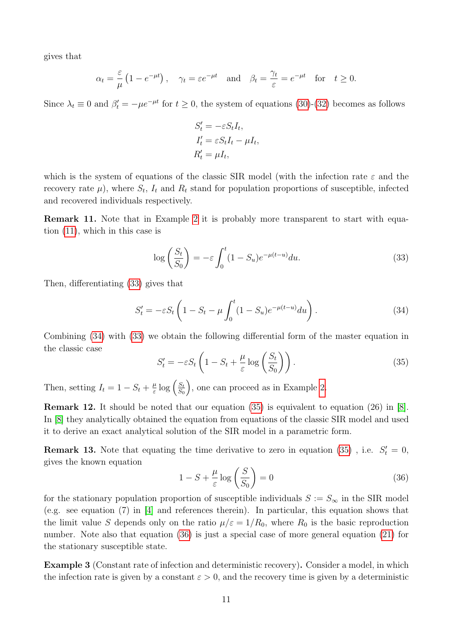gives that

$$
\alpha_t = \frac{\varepsilon}{\mu} \left( 1 - e^{-\mu t} \right), \quad \gamma_t = \varepsilon e^{-\mu t} \quad \text{and} \quad \beta_t = \frac{\gamma_t}{\varepsilon} = e^{-\mu t} \quad \text{for} \quad t \ge 0.
$$

Since  $\lambda_t \equiv 0$  and  $\beta'_t = -\mu e^{-\mu t}$  for  $t \ge 0$ , the system of equations [\(30\)](#page-9-4)-[\(32\)](#page-9-5) becomes as follows

$$
S'_{t} = -\varepsilon S_{t}I_{t},
$$
  
\n
$$
I'_{t} = \varepsilon S_{t}I_{t} - \mu I_{t},
$$
  
\n
$$
R'_{t} = \mu I_{t},
$$

which is the system of equations of the classic SIR model (with the infection rate  $\varepsilon$  and the recovery rate  $\mu$ ), where  $S_t$ ,  $I_t$  and  $R_t$  stand for population proportions of susceptible, infected and recovered individuals respectively.

<span id="page-10-0"></span>Remark 11. Note that in Example [2](#page-9-0) it is probably more transparent to start with equation [\(11\)](#page-5-2), which in this case is

<span id="page-10-2"></span>
$$
\log\left(\frac{S_t}{S_0}\right) = -\varepsilon \int_0^t (1 - S_u)e^{-\mu(t - u)} du.
$$
\n(33)

Then, differentiating [\(33\)](#page-10-2) gives that

<span id="page-10-3"></span>
$$
S_t' = -\varepsilon S_t \left( 1 - S_t - \mu \int_0^t (1 - S_u) e^{-\mu(t - u)} du \right). \tag{34}
$$

Combining [\(34\)](#page-10-3) with [\(33\)](#page-10-2) we obtain the following differential form of the master equation in the classic case

<span id="page-10-4"></span>
$$
S_t' = -\varepsilon S_t \left( 1 - S_t + \frac{\mu}{\varepsilon} \log \left( \frac{S_t}{S_0} \right) \right). \tag{35}
$$

Then, setting  $I_t = 1 - S_t + \frac{\mu}{\varepsilon}$  $\frac{\mu}{\varepsilon} \log \Big( \frac{S_t}{S_0}$  $S_0$ , one can proceed as in Example [2.](#page-9-0)

<span id="page-10-1"></span>Remark 12. It should be noted that our equation [\(35\)](#page-10-4) is equivalent to equation (26) in [\[8\]](#page-16-3). In [\[8\]](#page-16-3) they analytically obtained the equation from equations of the classic SIR model and used it to derive an exact analytical solution of the SIR model in a parametric form.

**Remark 13.** Note that equating the time derivative to zero in equation [\(35\)](#page-10-4), i.e.  $S_t' = 0$ , gives the known equation

<span id="page-10-5"></span>
$$
1 - S + \frac{\mu}{\varepsilon} \log \left( \frac{S}{S_0} \right) = 0 \tag{36}
$$

for the stationary population proportion of susceptible individuals  $S := S_{\infty}$  in the SIR model (e.g. see equation (7) in [\[4\]](#page-16-6) and references therein). In particular, this equation shows that the limit value S depends only on the ratio  $\mu/\varepsilon = 1/R_0$ , where  $R_0$  is the basic reproduction number. Note also that equation [\(36\)](#page-10-5) is just a special case of more general equation [\(21\)](#page-7-3) for the stationary susceptible state.

Example 3 (Constant rate of infection and deterministic recovery). Consider a model, in which the infection rate is given by a constant  $\varepsilon > 0$ , and the recovery time is given by a deterministic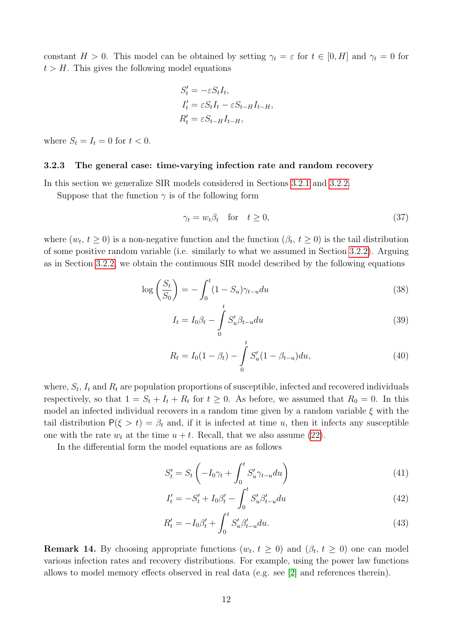constant  $H > 0$ . This model can be obtained by setting  $\gamma_t = \varepsilon$  for  $t \in [0, H]$  and  $\gamma_t = 0$  for  $t > H$ . This gives the following model equations

$$
S'_{t} = -\varepsilon S_{t}I_{t},
$$
  
\n
$$
I'_{t} = \varepsilon S_{t}I_{t} - \varepsilon S_{t-H}I_{t-H},
$$
  
\n
$$
R'_{t} = \varepsilon S_{t-H}I_{t-H},
$$

where  $S_t = I_t = 0$  for  $t < 0$ .

#### 3.2.3 The general case: time-varying infection rate and random recovery

In this section we generalize SIR models considered in Sections [3.2.1](#page-8-3) and [3.2.2.](#page-8-4)

Suppose that the function  $\gamma$  is of the following form

$$
\gamma_t = w_t \beta_t \quad \text{for} \quad t \ge 0,\tag{37}
$$

where  $(w_t, t \ge 0)$  is a non-negative function and the function  $(\beta_t, t \ge 0)$  is the tail distribution of some positive random variable (i.e. similarly to what we assumed in Section [3.2.2\)](#page-8-4). Arguing as in Section [3.2.2,](#page-8-4) we obtain the continuous SIR model described by the following equations

$$
\log\left(\frac{S_t}{S_0}\right) = -\int_0^t (1 - S_u)\gamma_{t-u} du \tag{38}
$$

$$
I_t = I_0 \beta_t - \int_0^t S'_u \beta_{t-u} du \tag{39}
$$

<span id="page-11-0"></span>
$$
R_t = I_0(1 - \beta_t) - \int_0^t S'_u(1 - \beta_{t-u}) du,
$$
\n(40)

where,  $S_t$ ,  $I_t$  and  $R_t$  are population proportions of susceptible, infected and recovered individuals respectively, so that  $1 = S_t + I_t + R_t$  for  $t \geq 0$ . As before, we assumed that  $R_0 = 0$ . In this model an infected individual recovers in a random time given by a random variable  $\xi$  with the tail distribution  $P(\xi > t) = \beta_t$  and, if it is infected at time u, then it infects any susceptible one with the rate  $w_t$  at the time  $u + t$ . Recall, that we also assume [\(22\)](#page-8-1).

In the differential form the model equations are as follows

<span id="page-11-1"></span>
$$
S_t' = S_t \left( -I_0 \gamma_t + \int_0^t S_u' \gamma_{t-u} du \right) \tag{41}
$$

<span id="page-11-3"></span>
$$
I'_t = -S'_t + I_0 \beta'_t - \int_0^t S'_u \beta'_{t-u} du \tag{42}
$$

<span id="page-11-2"></span>
$$
R'_t = -I_0 \beta'_t + \int_0^t S'_u \beta'_{t-u} du.
$$
\n(43)

**Remark 14.** By choosing appropriate functions  $(w_t, t \ge 0)$  and  $(\beta_t, t \ge 0)$  one can model various infection rates and recovery distributions. For example, using the power law functions allows to model memory effects observed in real data (e.g. see [\[2\]](#page-16-4) and references therein).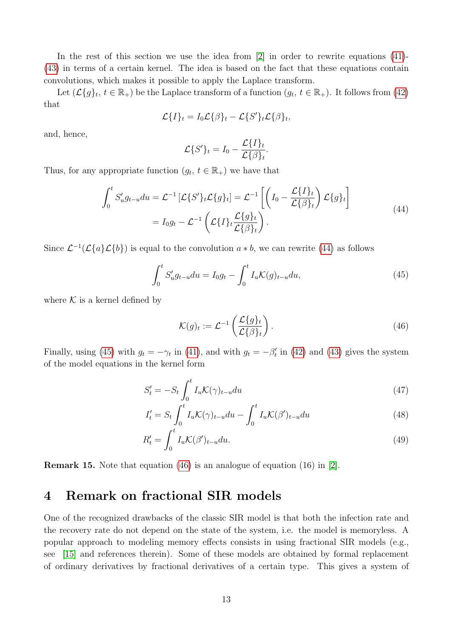In the rest of this section we use the idea from  $[2]$  in order to rewrite equations  $(41)$ -[\(43\)](#page-11-2) in terms of a certain kernel. The idea is based on the fact that these equations contain convolutions, which makes it possible to apply the Laplace transform.

Let  $(\mathcal{L}{g}_t, t \in \mathbb{R}_+)$  be the Laplace transform of a function  $(g_t, t \in \mathbb{R}_+)$ . It follows from [\(42\)](#page-11-3) that

$$
\mathcal{L}{I}_t = I_0 \mathcal{L}{\beta}_t - \mathcal{L}{S'}_t \mathcal{L}{\beta}_t,
$$

and, hence,

$$
\mathcal{L}\{S'\}_t = I_0 - \frac{\mathcal{L}\{I\}_t}{\mathcal{L}\{\beta\}_t}.
$$

<span id="page-12-1"></span>Thus, for any appropriate function  $(g_t, t \in \mathbb{R}_+)$  we have that

$$
\int_0^t S'_u g_{t-u} du = \mathcal{L}^{-1} \left[ \mathcal{L} \{ S' \}_t \mathcal{L} \{ g \}_t \right] = \mathcal{L}^{-1} \left[ \left( I_0 - \frac{\mathcal{L} \{ I \}_t}{\mathcal{L} \{ \beta \}_t} \right) \mathcal{L} \{ g \}_t \right]
$$
\n
$$
= I_0 g_t - \mathcal{L}^{-1} \left( \mathcal{L} \{ I \}_t \frac{\mathcal{L} \{ g \}_t}{\mathcal{L} \{ \beta \}_t} \right). \tag{44}
$$

<span id="page-12-2"></span>Since  $\mathcal{L}^{-1}(\mathcal{L}\{a\}\mathcal{L}\{b\})$  is equal to the convolution  $a * b$ , we can rewrite [\(44\)](#page-12-1) as follows

$$
\int_0^t S'_u g_{t-u} du = I_0 g_t - \int_0^t I_u \mathcal{K}(g)_{t-u} du,
$$
\n(45)

where  $K$  is a kernel defined by

<span id="page-12-5"></span><span id="page-12-4"></span><span id="page-12-3"></span>
$$
\mathcal{K}(g)_t := \mathcal{L}^{-1}\left(\frac{\mathcal{L}\{g\}_t}{\mathcal{L}\{\beta\}_t}\right). \tag{46}
$$

Finally, using [\(45\)](#page-12-2) with  $g_t = -\gamma_t$  in [\(41\)](#page-11-1), and with  $g_t = -\beta'_t$  in [\(42\)](#page-11-3) and [\(43\)](#page-11-2) gives the system of the model equations in the kernel form

$$
S_t' = -S_t \int_0^t I_u \mathcal{K}(\gamma)_{t-u} du \tag{47}
$$

$$
I'_t = S_t \int_0^t I_u \mathcal{K}(\gamma)_{t-u} du - \int_0^t I_u \mathcal{K}(\beta')_{t-u} du \tag{48}
$$

$$
R'_t = \int_0^t I_u \mathcal{K}(\beta')_{t-u} du.
$$
\n(49)

**Remark 15.** Note that equation [\(46\)](#page-12-3) is an analogue of equation (16) in [\[2\]](#page-16-4).

## <span id="page-12-0"></span>4 Remark on fractional SIR models

One of the recognized drawbacks of the classic SIR model is that both the infection rate and the recovery rate do not depend on the state of the system, i.e. the model is memoryless. A popular approach to modeling memory effects consists in using fractional SIR models (e.g., see [\[15\]](#page-17-6) and references therein). Some of these models are obtained by formal replacement of ordinary derivatives by fractional derivatives of a certain type. This gives a system of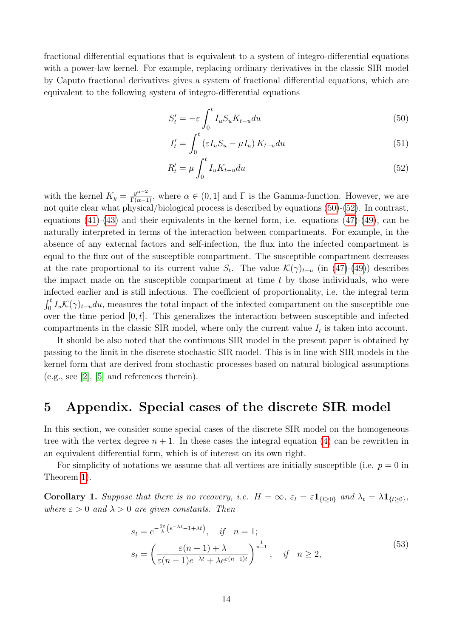fractional differential equations that is equivalent to a system of integro-differential equations with a power-law kernel. For example, replacing ordinary derivatives in the classic SIR model by Caputo fractional derivatives gives a system of fractional differential equations, which are equivalent to the following system of integro-differential equations

<span id="page-13-1"></span>
$$
S_t' = -\varepsilon \int_0^t I_u S_u K_{t-u} du \tag{50}
$$

<span id="page-13-2"></span>
$$
I_t' = \int_0^t \left(\varepsilon I_u S_u - \mu I_u\right) K_{t-u} du \tag{51}
$$

$$
R'_t = \mu \int_0^t I_u K_{t-u} du \tag{52}
$$

with the kernel  $K_y = \frac{y^{\alpha-2}}{\Gamma(\alpha-1)}$ , where  $\alpha \in (0,1]$  and  $\Gamma$  is the Gamma-function. However, we are not quite clear what physical/biological process is described by equations [\(50\)](#page-13-1)-[\(52\)](#page-13-2). In contrast, equations  $(41)-(43)$  $(41)-(43)$  and their equivalents in the kernel form, i.e. equations  $(47)-(49)$  $(47)-(49)$ , can be naturally interpreted in terms of the interaction between compartments. For example, in the absence of any external factors and self-infection, the flux into the infected compartment is equal to the flux out of the susceptible compartment. The susceptible compartment decreases at the rate proportional to its current value  $S_t$ . The value  $\mathcal{K}(\gamma)_{t-u}$  (in [\(47\)](#page-12-4)-[\(49\)](#page-12-5)) describes the impact made on the susceptible compartment at time  $t$  by those individuals, who were infected earlier and is still infectious. The coefficient of proportionality, i.e. the integral term  $\int_0^t I_u \mathcal{K}(\gamma)_{t-u} du$ , measures the total impact of the infected compartment on the susceptible one over the time period  $[0, t]$ . This generalizes the interaction between susceptible and infected compartments in the classic SIR model, where only the current value  $I_t$  is taken into account.

It should be also noted that the continuous SIR model in the present paper is obtained by passing to the limit in the discrete stochastic SIR model. This is in line with SIR models in the kernel form that are derived from stochastic processes based on natural biological assumptions (e.g., see [\[2\]](#page-16-4), [\[5\]](#page-16-5) and references therein).

# <span id="page-13-0"></span>5 Appendix. Special cases of the discrete SIR model

In this section, we consider some special cases of the discrete SIR model on the homogeneous tree with the vertex degree  $n + 1$ . In these cases the integral equation [\(4\)](#page-3-3) can be rewritten in an equivalent differential form, which is of interest on its own right.

For simplicity of notations we assume that all vertices are initially susceptible (i.e.  $p = 0$  in Theorem [1\)](#page-3-1).

<span id="page-13-4"></span><span id="page-13-3"></span>**Corollary 1.** Suppose that there is no recovery, i.e.  $H = \infty$ ,  $\varepsilon_t = \varepsilon \mathbf{1}_{\{t \geq 0\}}$  and  $\lambda_t = \lambda \mathbf{1}_{\{t \geq 0\}}$ , where  $\varepsilon > 0$  and  $\lambda > 0$  are given constants. Then

$$
s_t = e^{-\frac{2\varepsilon}{\lambda}(e^{-\lambda t} - 1 + \lambda t)}, \quad \text{if} \quad n = 1;
$$
  

$$
s_t = \left(\frac{\varepsilon(n-1) + \lambda}{\varepsilon(n-1)e^{-\lambda t} + \lambda e^{\varepsilon(n-1)t}}\right)^{\frac{1}{n-1}}, \quad \text{if} \quad n \ge 2,
$$
 (53)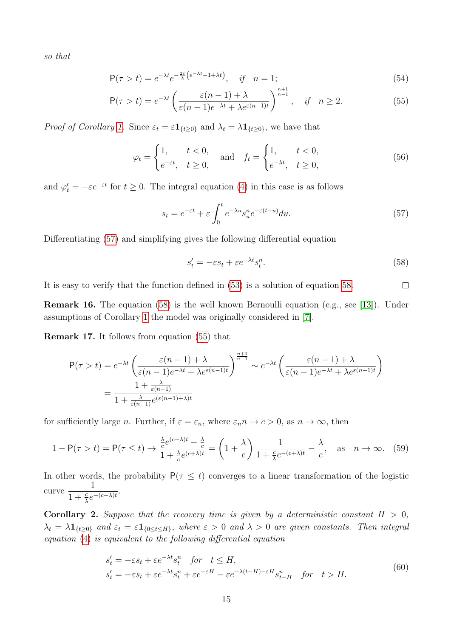so that

$$
P(\tau > t) = e^{-\lambda t} e^{-\frac{2\varepsilon}{\lambda} \left(e^{-\lambda t} - 1 + \lambda t\right)}, \quad \text{if} \quad n = 1;
$$
\n<sup>(54)</sup>

$$
\mathsf{P}(\tau > t) = e^{-\lambda t} \left( \frac{\varepsilon (n-1) + \lambda}{\varepsilon (n-1)e^{-\lambda t} + \lambda e^{\varepsilon (n-1)t}} \right)^{\frac{n+1}{n-1}}, \quad \text{if} \quad n \ge 2. \tag{55}
$$

*Proof of Corollary [1.](#page-13-3)* Since  $\varepsilon_t = \varepsilon \mathbf{1}_{\{t \geq 0\}}$  and  $\lambda_t = \lambda \mathbf{1}_{\{t \geq 0\}}$ , we have that

$$
\varphi_t = \begin{cases} 1, & t < 0, \\ e^{-\varepsilon t}, & t \ge 0, \end{cases} \quad \text{and} \quad f_t = \begin{cases} 1, & t < 0, \\ e^{-\lambda t}, & t \ge 0, \end{cases} \tag{56}
$$

and  $\varphi'_t = -\varepsilon e^{-\varepsilon t}$  for  $t \geq 0$ . The integral equation [\(4\)](#page-3-3) in this case is as follows

<span id="page-14-2"></span><span id="page-14-0"></span>
$$
s_t = e^{-\varepsilon t} + \varepsilon \int_0^t e^{-\lambda u} s_u^n e^{-\varepsilon (t-u)} du.
$$
\n(57)

<span id="page-14-1"></span>Differentiating [\(57\)](#page-14-0) and simplifying gives the following differential equation

$$
s_t' = -\varepsilon s_t + \varepsilon e^{-\lambda t} s_t^n. \tag{58}
$$

It is easy to verify that the function defined in [\(53\)](#page-13-4) is a solution of equation [58.](#page-14-1)  $\Box$ 

Remark 16. The equation [\(58\)](#page-14-1) is the well known Bernoulli equation (e.g., see [\[13\]](#page-17-7)). Under assumptions of Corollary [1](#page-13-3) the model was originally considered in [\[7\]](#page-16-7).

Remark 17. It follows from equation [\(55\)](#page-14-2) that

$$
P(\tau > t) = e^{-\lambda t} \left( \frac{\varepsilon(n-1) + \lambda}{\varepsilon(n-1)e^{-\lambda t} + \lambda e^{\varepsilon(n-1)t}} \right)^{\frac{n+1}{n-1}} \sim e^{-\lambda t} \left( \frac{\varepsilon(n-1) + \lambda}{\varepsilon(n-1)e^{-\lambda t} + \lambda e^{\varepsilon(n-1)t}} \right)
$$

$$
= \frac{1 + \frac{\lambda}{\varepsilon(n-1)}}{1 + \frac{\lambda}{\varepsilon(n-1)}e^{(\varepsilon(n-1) + \lambda)t}}
$$

for sufficiently large *n*. Further, if  $\varepsilon = \varepsilon_n$ , where  $\varepsilon_n n \to c > 0$ , as  $n \to \infty$ , then

$$
1 - \mathsf{P}(\tau > t) = \mathsf{P}(\tau \leq t) \to \frac{\frac{\lambda}{c} e^{(c+\lambda)t} - \frac{\lambda}{c}}{1 + \frac{\lambda}{c} e^{(c+\lambda)t}} = \left(1 + \frac{\lambda}{c}\right) \frac{1}{1 + \frac{c}{\lambda} e^{-(c+\lambda)t}} - \frac{\lambda}{c}, \quad \text{as} \quad n \to \infty. \tag{59}
$$

In other words, the probability  $P(\tau \leq t)$  converges to a linear transformation of the logistic curve 1  $\frac{1}{1+\frac{c}{\lambda}e^{-(c+\lambda)t}}$ .

<span id="page-14-4"></span><span id="page-14-3"></span>**Corollary 2.** Suppose that the recovery time is given by a deterministic constant  $H > 0$ ,  $\lambda_t = \lambda \mathbf{1}_{\{t>0\}}$  and  $\varepsilon_t = \varepsilon \mathbf{1}_{\{0 \le t \le H\}}$ , where  $\varepsilon > 0$  and  $\lambda > 0$  are given constants. Then integral equation [\(4\)](#page-3-3) is equivalent to the following differential equation

$$
s_t' = -\varepsilon s_t + \varepsilon e^{-\lambda t} s_t^n \quad \text{for} \quad t \le H,
$$
  
\n
$$
s_t' = -\varepsilon s_t + \varepsilon e^{-\lambda t} s_t^n + \varepsilon e^{-\varepsilon H} - \varepsilon e^{-\lambda (t - H) - \varepsilon H} s_{t-H}^n \quad \text{for} \quad t > H.
$$
\n
$$
(60)
$$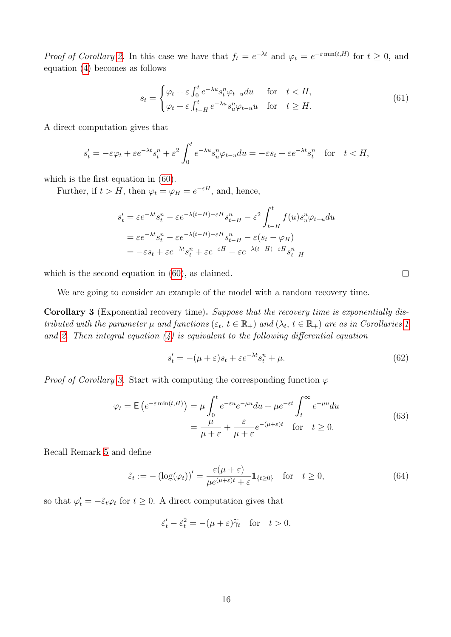*Proof of Corollary [2.](#page-14-3)* In this case we have that  $f_t = e^{-\lambda t}$  and  $\varphi_t = e^{-\varepsilon \min(t,H)}$  for  $t \ge 0$ , and equation [\(4\)](#page-3-3) becomes as follows

$$
s_t = \begin{cases} \varphi_t + \varepsilon \int_0^t e^{-\lambda u} s_t^u \varphi_{t-u} du & \text{for} \quad t < H, \\ \varphi_t + \varepsilon \int_{t-H}^t e^{-\lambda u} s_u^u \varphi_{t-u} u & \text{for} \quad t \ge H. \end{cases} \tag{61}
$$

A direct computation gives that

$$
s_t' = -\varepsilon \varphi_t + \varepsilon e^{-\lambda t} s_t^n + \varepsilon^2 \int_0^t e^{-\lambda u} s_u^n \varphi_{t-u} du = -\varepsilon s_t + \varepsilon e^{-\lambda t} s_t^n \quad \text{for} \quad t < H,
$$

which is the first equation in [\(60\)](#page-14-4).

Further, if  $t > H$ , then  $\varphi_t = \varphi_H = e^{-\varepsilon H}$ , and, hence,

$$
s_t' = \varepsilon e^{-\lambda t} s_t^n - \varepsilon e^{-\lambda (t - H) - \varepsilon H} s_{t-H}^n - \varepsilon^2 \int_{t-H}^t f(u) s_u^n \varphi_{t-u} du
$$
  
=  $\varepsilon e^{-\lambda t} s_t^n - \varepsilon e^{-\lambda (t-H) - \varepsilon H} s_{t-H}^n - \varepsilon (s_t - \varphi_H)$   
=  $-\varepsilon s_t + \varepsilon e^{-\lambda t} s_t^n + \varepsilon e^{-\varepsilon H} - \varepsilon e^{-\lambda (t-H) - \varepsilon H} s_{t-H}^n$ 

which is the second equation in  $(60)$ , as claimed.

We are going to consider an example of the model with a random recovery time.

<span id="page-15-0"></span>Corollary 3 (Exponential recovery time). Suppose that the recovery time is exponentially distributed with the parameter  $\mu$  and functions  $(\varepsilon_t, t \in \mathbb{R}_+)$  and  $(\lambda_t, t \in \mathbb{R}_+)$  are as in Corollaries [1](#page-13-3) and [2.](#page-14-3) Then integral equation  $\left(4\right)$  is equivalent to the following differential equation

$$
s_t' = -(\mu + \varepsilon)s_t + \varepsilon e^{-\lambda t} s_t^n + \mu. \tag{62}
$$

*Proof of Corollary [3.](#page-15-0)* Start with computing the corresponding function  $\varphi$ 

$$
\varphi_t = \mathsf{E}\left(e^{-\varepsilon \min(t,H)}\right) = \mu \int_0^t e^{-\varepsilon u} e^{-\mu u} du + \mu e^{-\varepsilon t} \int_t^\infty e^{-\mu u} du
$$
  
=  $\frac{\mu}{\mu + \varepsilon} + \frac{\varepsilon}{\mu + \varepsilon} e^{-(\mu + \varepsilon)t}$  for  $t \ge 0$ . (63)

Recall Remark [5](#page-5-3) and define

$$
\tilde{\varepsilon}_t := -\left(\log(\varphi_t)\right)' = \frac{\varepsilon(\mu + \varepsilon)}{\mu e^{(\mu + \varepsilon)t} + \varepsilon} \mathbf{1}_{\{t \ge 0\}} \quad \text{for} \quad t \ge 0,\tag{64}
$$

so that  $\varphi'_t = -\tilde{\varepsilon}_t \varphi_t$  for  $t \geq 0$ . A direct computation gives that

$$
\tilde{\varepsilon}'_t - \tilde{\varepsilon}_t^2 = -(\mu + \varepsilon)\tilde{\gamma}_t \quad \text{for} \quad t > 0.
$$

 $\Box$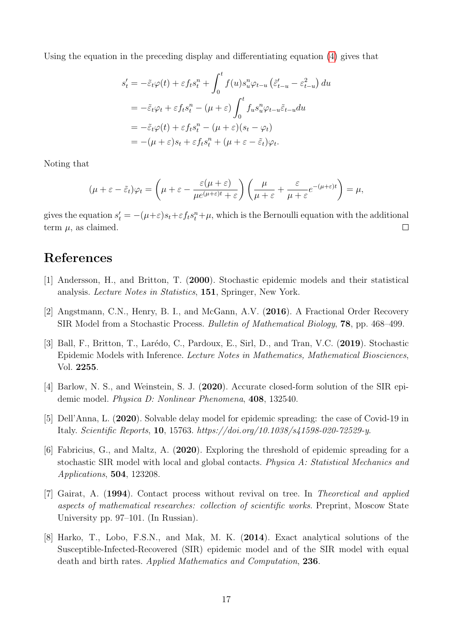Using the equation in the preceding display and differentiating equation [\(4\)](#page-3-3) gives that

$$
s_t' = -\tilde{\varepsilon}_t \varphi(t) + \varepsilon f_t s_t^n + \int_0^t f(u) s_u^n \varphi_{t-u} (\tilde{\varepsilon}_{t-u}' - \varepsilon_{t-u}^2) du
$$
  

$$
= -\tilde{\varepsilon}_t \varphi_t + \varepsilon f_t s_t^n - (\mu + \varepsilon) \int_0^t f_u s_u^n \varphi_{t-u} \tilde{\varepsilon}_{t-u} du
$$
  

$$
= -\tilde{\varepsilon}_t \varphi(t) + \varepsilon f_t s_t^n - (\mu + \varepsilon)(s_t - \varphi_t)
$$
  

$$
= -(\mu + \varepsilon)s_t + \varepsilon f_t s_t^n + (\mu + \varepsilon - \tilde{\varepsilon}_t)\varphi_t.
$$

Noting that

$$
(\mu + \varepsilon - \tilde{\varepsilon}_t)\varphi_t = \left(\mu + \varepsilon - \frac{\varepsilon(\mu + \varepsilon)}{\mu e^{(\mu + \varepsilon)t} + \varepsilon}\right)\left(\frac{\mu}{\mu + \varepsilon} + \frac{\varepsilon}{\mu + \varepsilon}e^{-(\mu + \varepsilon)t}\right) = \mu,
$$

gives the equation  $s_t' = -(\mu + \varepsilon)s_t + \varepsilon f_t s_t^n + \mu$ , which is the Bernoulli equation with the additional term  $\mu$ , as claimed.  $\Box$ 

# References

- <span id="page-16-0"></span>[1] Andersson, H., and Britton, T. (2000). Stochastic epidemic models and their statistical analysis. Lecture Notes in Statistics, 151, Springer, New York.
- <span id="page-16-4"></span>[2] Angstmann, C.N., Henry, B. I., and McGann, A.V. (2016). A Fractional Order Recovery SIR Model from a Stochastic Process. Bulletin of Mathematical Biology, 78, pp. 468–499.
- <span id="page-16-1"></span>[3] Ball, F., Britton, T., Larédo, C., Pardoux, E., Sirl, D., and Tran, V.C. (2019). Stochastic Epidemic Models with Inference. Lecture Notes in Mathematics, Mathematical Biosciences, Vol. 2255.
- <span id="page-16-6"></span>[4] Barlow, N. S., and Weinstein, S. J. (2020). Accurate closed-form solution of the SIR epidemic model. Physica D: Nonlinear Phenomena, 408, 132540.
- <span id="page-16-5"></span>[5] Dell'Anna, L. (2020). Solvable delay model for epidemic spreading: the case of Covid-19 in Italy. Scientific Reports, 10, 15763. https://doi.org/10.1038/s41598-020-72529-y.
- <span id="page-16-2"></span>[6] Fabricius, G., and Maltz, A. (2020). Exploring the threshold of epidemic spreading for a stochastic SIR model with local and global contacts. Physica A: Statistical Mechanics and Applications, 504, 123208.
- <span id="page-16-7"></span>[7] Gairat, A. (1994). Contact process without revival on tree. In Theoretical and applied aspects of mathematical researches: collection of scientific works. Preprint, Moscow State University pp. 97–101. (In Russian).
- <span id="page-16-3"></span>[8] Harko, T., Lobo, F.S.N., and Mak, M. K. (2014). Exact analytical solutions of the Susceptible-Infected-Recovered (SIR) epidemic model and of the SIR model with equal death and birth rates. Applied Mathematics and Computation, 236.